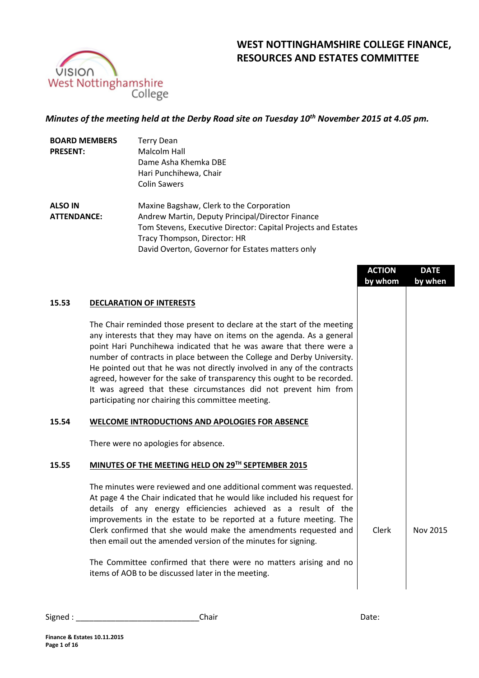

# **WEST NOTTINGHAMSHIRE COLLEGE FINANCE, RESOURCES AND ESTATES COMMITTEE**

## *Minutes of the meeting held at the Derby Road site on Tuesday 10th November 2015 at 4.05 pm.*

| <b>BOARD MEMBERS</b> | <b>Terry Dean</b>                                             |
|----------------------|---------------------------------------------------------------|
| <b>PRESENT:</b>      | Malcolm Hall                                                  |
|                      | Dame Asha Khemka DBE                                          |
|                      | Hari Punchihewa, Chair                                        |
|                      | <b>Colin Sawers</b>                                           |
| <b>ALSO IN</b>       | Maxine Bagshaw, Clerk to the Corporation                      |
| <b>ATTENDANCE:</b>   | Andrew Martin, Deputy Principal/Director Finance              |
|                      | Tom Stevens, Executive Director: Capital Projects and Estates |
|                      | Tracy Thompson, Director: HR                                  |
|                      | David Overton, Governor for Estates matters only              |

|       |                                                                                                                                                                                                                                                                                                                                                                                                                                                                                                                                                                                   | <b>ACTION</b><br>by whom | <b>DATE</b><br>by when |
|-------|-----------------------------------------------------------------------------------------------------------------------------------------------------------------------------------------------------------------------------------------------------------------------------------------------------------------------------------------------------------------------------------------------------------------------------------------------------------------------------------------------------------------------------------------------------------------------------------|--------------------------|------------------------|
| 15.53 | <b>DECLARATION OF INTERESTS</b>                                                                                                                                                                                                                                                                                                                                                                                                                                                                                                                                                   |                          |                        |
|       | The Chair reminded those present to declare at the start of the meeting<br>any interests that they may have on items on the agenda. As a general<br>point Hari Punchihewa indicated that he was aware that there were a<br>number of contracts in place between the College and Derby University.<br>He pointed out that he was not directly involved in any of the contracts<br>agreed, however for the sake of transparency this ought to be recorded.<br>It was agreed that these circumstances did not prevent him from<br>participating nor chairing this committee meeting. |                          |                        |
| 15.54 | WELCOME INTRODUCTIONS AND APOLOGIES FOR ABSENCE                                                                                                                                                                                                                                                                                                                                                                                                                                                                                                                                   |                          |                        |
|       | There were no apologies for absence.                                                                                                                                                                                                                                                                                                                                                                                                                                                                                                                                              |                          |                        |
| 15.55 | MINUTES OF THE MEETING HELD ON 29TH SEPTEMBER 2015                                                                                                                                                                                                                                                                                                                                                                                                                                                                                                                                |                          |                        |
|       | The minutes were reviewed and one additional comment was requested.<br>At page 4 the Chair indicated that he would like included his request for<br>details of any energy efficiencies achieved as a result of the<br>improvements in the estate to be reported at a future meeting. The<br>Clerk confirmed that she would make the amendments requested and<br>then email out the amended version of the minutes for signing.<br>The Committee confirmed that there were no matters arising and no                                                                               | <b>Clerk</b>             | <b>Nov 2015</b>        |
|       | items of AOB to be discussed later in the meeting.                                                                                                                                                                                                                                                                                                                                                                                                                                                                                                                                |                          |                        |
|       |                                                                                                                                                                                                                                                                                                                                                                                                                                                                                                                                                                                   |                          |                        |

Signed : \_\_\_\_\_\_\_\_\_\_\_\_\_\_\_\_\_\_\_\_\_\_\_\_\_\_\_\_Chair Date: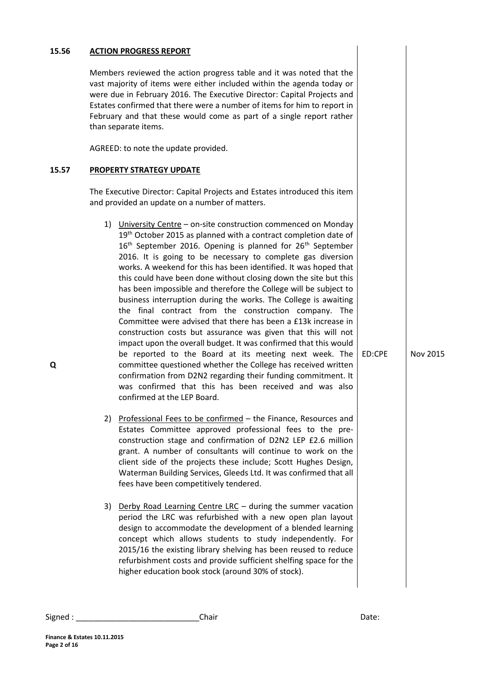## Members reviewed the action progress table and it was noted that the vast majority of items were either included within the agenda today or were due in February 2016. The Executive Director: Capital Projects and Estates confirmed that there were a number of items for him to report in February and that these would come as part of a single report rather than separate items. AGREED: to note the update provided. **15.57 PROPERTY STRATEGY UPDATE Q** The Executive Director: Capital Projects and Estates introduced this item and provided an update on a number of matters. 1) University Centre – on-site construction commenced on Monday 19<sup>th</sup> October 2015 as planned with a contract completion date of  $16<sup>th</sup>$  September 2016. Opening is planned for  $26<sup>th</sup>$  September 2016. It is going to be necessary to complete gas diversion works. A weekend for this has been identified. It was hoped that this could have been done without closing down the site but this has been impossible and therefore the College will be subject to business interruption during the works. The College is awaiting the final contract from the construction company. The Committee were advised that there has been a £13k increase in construction costs but assurance was given that this will not impact upon the overall budget. It was confirmed that this would be reported to the Board at its meeting next week. The committee questioned whether the College has received written confirmation from D2N2 regarding their funding commitment. It ED:CPE Nov 2015

**15.56 ACTION PROGRESS REPORT**

2) Professional Fees to be confirmed – the Finance, Resources and Estates Committee approved professional fees to the preconstruction stage and confirmation of D2N2 LEP £2.6 million grant. A number of consultants will continue to work on the client side of the projects these include; Scott Hughes Design, Waterman Building Services, Gleeds Ltd. It was confirmed that all fees have been competitively tendered.

was confirmed that this has been received and was also

confirmed at the LEP Board.

3) Derby Road Learning Centre LRC – during the summer vacation period the LRC was refurbished with a new open plan layout design to accommodate the development of a blended learning concept which allows students to study independently. For 2015/16 the existing library shelving has been reused to reduce refurbishment costs and provide sufficient shelfing space for the higher education book stock (around 30% of stock).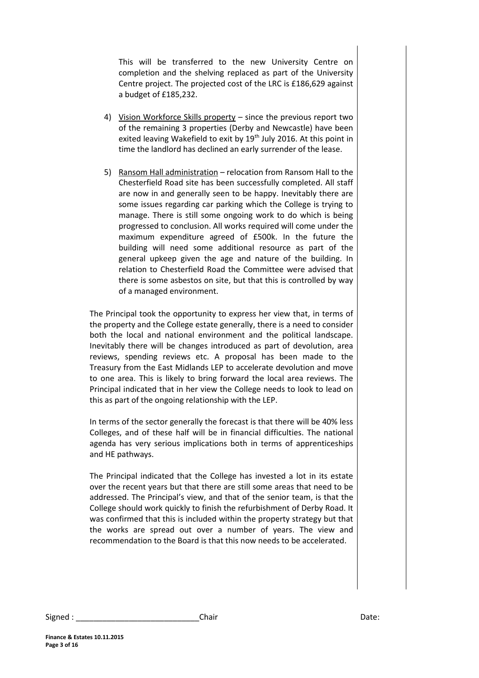This will be transferred to the new University Centre on completion and the shelving replaced as part of the University Centre project. The projected cost of the LRC is £186,629 against a budget of £185,232.

- 4) Vision Workforce Skills property since the previous report two of the remaining 3 properties (Derby and Newcastle) have been exited leaving Wakefield to exit by 19<sup>th</sup> July 2016. At this point in time the landlord has declined an early surrender of the lease.
- 5) Ransom Hall administration relocation from Ransom Hall to the Chesterfield Road site has been successfully completed. All staff are now in and generally seen to be happy. Inevitably there are some issues regarding car parking which the College is trying to manage. There is still some ongoing work to do which is being progressed to conclusion. All works required will come under the maximum expenditure agreed of £500k. In the future the building will need some additional resource as part of the general upkeep given the age and nature of the building. In relation to Chesterfield Road the Committee were advised that there is some asbestos on site, but that this is controlled by way of a managed environment.

The Principal took the opportunity to express her view that, in terms of the property and the College estate generally, there is a need to consider both the local and national environment and the political landscape. Inevitably there will be changes introduced as part of devolution, area reviews, spending reviews etc. A proposal has been made to the Treasury from the East Midlands LEP to accelerate devolution and move to one area. This is likely to bring forward the local area reviews. The Principal indicated that in her view the College needs to look to lead on this as part of the ongoing relationship with the LEP.

In terms of the sector generally the forecast is that there will be 40% less Colleges, and of these half will be in financial difficulties. The national agenda has very serious implications both in terms of apprenticeships and HE pathways.

The Principal indicated that the College has invested a lot in its estate over the recent years but that there are still some areas that need to be addressed. The Principal's view, and that of the senior team, is that the College should work quickly to finish the refurbishment of Derby Road. It was confirmed that this is included within the property strategy but that the works are spread out over a number of years. The view and recommendation to the Board is that this now needs to be accelerated.

Signed : \_\_\_\_\_\_\_\_\_\_\_\_\_\_\_\_\_\_\_\_\_\_\_\_\_\_\_\_\_\_\_\_\_Chair \_\_\_\_\_\_\_\_\_\_\_\_\_\_\_\_\_\_\_\_\_\_\_\_\_\_\_\_\_\_\_\_Date: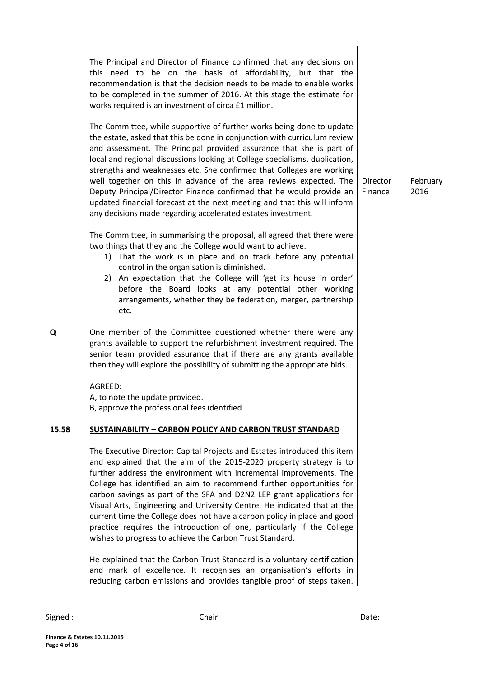| The Principal and Director of Finance confirmed that any decisions on<br>this need to be on the basis of affordability, but that the<br>recommendation is that the decision needs to be made to enable works<br>to be completed in the summer of 2016. At this stage the estimate for<br>works required is an investment of circa £1 million.<br>The Committee, while supportive of further works being done to update<br>the estate, asked that this be done in conjunction with curriculum review<br>and assessment. The Principal provided assurance that she is part of<br>local and regional discussions looking at College specialisms, duplication,<br>strengths and weaknesses etc. She confirmed that Colleges are working<br>well together on this in advance of the area reviews expected. The<br>Deputy Principal/Director Finance confirmed that he would provide an<br>updated financial forecast at the next meeting and that this will inform<br>any decisions made regarding accelerated estates investment. | <b>Director</b><br>Finance | February<br>2016 |
|-------------------------------------------------------------------------------------------------------------------------------------------------------------------------------------------------------------------------------------------------------------------------------------------------------------------------------------------------------------------------------------------------------------------------------------------------------------------------------------------------------------------------------------------------------------------------------------------------------------------------------------------------------------------------------------------------------------------------------------------------------------------------------------------------------------------------------------------------------------------------------------------------------------------------------------------------------------------------------------------------------------------------------|----------------------------|------------------|
| The Committee, in summarising the proposal, all agreed that there were<br>two things that they and the College would want to achieve.<br>1) That the work is in place and on track before any potential<br>control in the organisation is diminished.<br>2) An expectation that the College will 'get its house in order'<br>before the Board looks at any potential other working<br>arrangements, whether they be federation, merger, partnership<br>etc.                                                                                                                                                                                                                                                                                                                                                                                                                                                                                                                                                                   |                            |                  |
| Q<br>One member of the Committee questioned whether there were any<br>grants available to support the refurbishment investment required. The<br>senior team provided assurance that if there are any grants available<br>then they will explore the possibility of submitting the appropriate bids.                                                                                                                                                                                                                                                                                                                                                                                                                                                                                                                                                                                                                                                                                                                           |                            |                  |
| AGREED:<br>A, to note the update provided.<br>B, approve the professional fees identified.                                                                                                                                                                                                                                                                                                                                                                                                                                                                                                                                                                                                                                                                                                                                                                                                                                                                                                                                    |                            |                  |
| 15.58<br><b>SUSTAINABILITY - CARBON POLICY AND CARBON TRUST STANDARD</b>                                                                                                                                                                                                                                                                                                                                                                                                                                                                                                                                                                                                                                                                                                                                                                                                                                                                                                                                                      |                            |                  |
| The Executive Director: Capital Projects and Estates introduced this item<br>and explained that the aim of the 2015-2020 property strategy is to<br>further address the environment with incremental improvements. The<br>College has identified an aim to recommend further opportunities for<br>carbon savings as part of the SFA and D2N2 LEP grant applications for<br>Visual Arts, Engineering and University Centre. He indicated that at the<br>current time the College does not have a carbon policy in place and good<br>practice requires the introduction of one, particularly if the College<br>wishes to progress to achieve the Carbon Trust Standard.                                                                                                                                                                                                                                                                                                                                                         |                            |                  |
| He explained that the Carbon Trust Standard is a voluntary certification<br>and mark of excellence. It recognises an organisation's efforts in<br>reducing carbon emissions and provides tangible proof of steps taken.                                                                                                                                                                                                                                                                                                                                                                                                                                                                                                                                                                                                                                                                                                                                                                                                       |                            |                  |

Signed : \_\_\_\_\_\_\_\_\_\_\_\_\_\_\_\_\_\_\_\_\_\_\_\_\_\_\_\_Chair Date: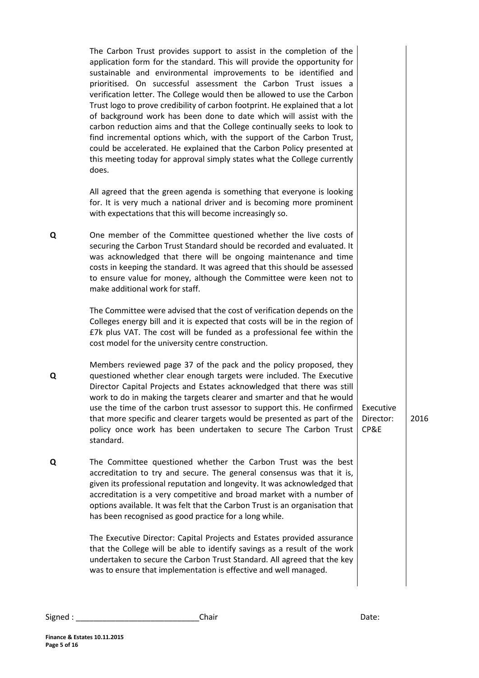| The Carbon Trust provides support to assist in the completion of the<br>application form for the standard. This will provide the opportunity for<br>sustainable and environmental improvements to be identified and<br>prioritised. On successful assessment the Carbon Trust issues a<br>verification letter. The College would then be allowed to use the Carbon<br>Trust logo to prove credibility of carbon footprint. He explained that a lot<br>of background work has been done to date which will assist with the<br>carbon reduction aims and that the College continually seeks to look to<br>find incremental options which, with the support of the Carbon Trust,<br>could be accelerated. He explained that the Carbon Policy presented at |                                |      |
|---------------------------------------------------------------------------------------------------------------------------------------------------------------------------------------------------------------------------------------------------------------------------------------------------------------------------------------------------------------------------------------------------------------------------------------------------------------------------------------------------------------------------------------------------------------------------------------------------------------------------------------------------------------------------------------------------------------------------------------------------------|--------------------------------|------|
| this meeting today for approval simply states what the College currently<br>does.                                                                                                                                                                                                                                                                                                                                                                                                                                                                                                                                                                                                                                                                       |                                |      |
| All agreed that the green agenda is something that everyone is looking<br>for. It is very much a national driver and is becoming more prominent<br>with expectations that this will become increasingly so.                                                                                                                                                                                                                                                                                                                                                                                                                                                                                                                                             |                                |      |
| One member of the Committee questioned whether the live costs of<br>securing the Carbon Trust Standard should be recorded and evaluated. It<br>was acknowledged that there will be ongoing maintenance and time<br>costs in keeping the standard. It was agreed that this should be assessed<br>to ensure value for money, although the Committee were keen not to<br>make additional work for staff.                                                                                                                                                                                                                                                                                                                                                   |                                |      |
| The Committee were advised that the cost of verification depends on the<br>Colleges energy bill and it is expected that costs will be in the region of<br>£7k plus VAT. The cost will be funded as a professional fee within the<br>cost model for the university centre construction.                                                                                                                                                                                                                                                                                                                                                                                                                                                                  |                                |      |
| Members reviewed page 37 of the pack and the policy proposed, they<br>questioned whether clear enough targets were included. The Executive<br>Director Capital Projects and Estates acknowledged that there was still<br>work to do in making the targets clearer and smarter and that he would<br>use the time of the carbon trust assessor to support this. He confirmed<br>that more specific and clearer targets would be presented as part of the<br>policy once work has been undertaken to secure The Carbon Trust<br>standard.                                                                                                                                                                                                                  | Executive<br>Director:<br>CP&E | 2016 |
| The Committee questioned whether the Carbon Trust was the best<br>accreditation to try and secure. The general consensus was that it is,<br>given its professional reputation and longevity. It was acknowledged that<br>accreditation is a very competitive and broad market with a number of<br>options available. It was felt that the Carbon Trust is an organisation that<br>has been recognised as good practice for a long while.                                                                                                                                                                                                                                                                                                                |                                |      |
| The Executive Director: Capital Projects and Estates provided assurance<br>that the College will be able to identify savings as a result of the work<br>undertaken to secure the Carbon Trust Standard. All agreed that the key<br>was to ensure that implementation is effective and well managed.                                                                                                                                                                                                                                                                                                                                                                                                                                                     |                                |      |

**Q**

**Q**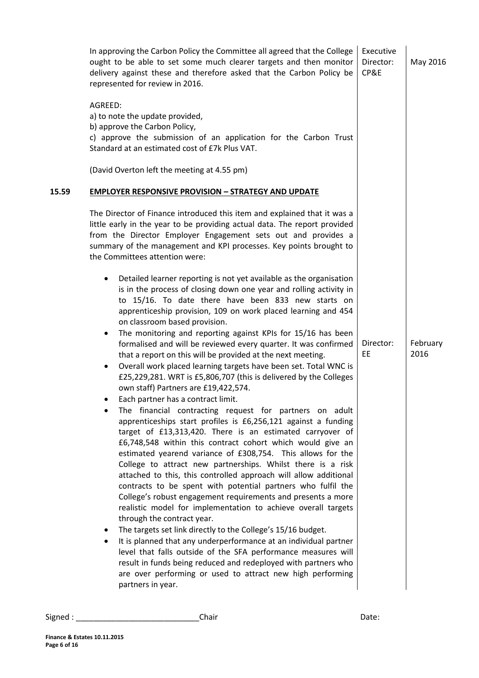|       | In approving the Carbon Policy the Committee all agreed that the College<br>ought to be able to set some much clearer targets and then monitor<br>delivery against these and therefore asked that the Carbon Policy be<br>represented for review in 2016.                                                                                                                                                                                                                                                                                                                                                                                                                                                                                                                                                                                                                                                                                                                                                                                                                                                                                                                                                                                                                                                                                                                                                                                                                                                                                                                                                                                                                                                                                                                                                                    | Executive<br>Director:<br>CP&E | May 2016         |
|-------|------------------------------------------------------------------------------------------------------------------------------------------------------------------------------------------------------------------------------------------------------------------------------------------------------------------------------------------------------------------------------------------------------------------------------------------------------------------------------------------------------------------------------------------------------------------------------------------------------------------------------------------------------------------------------------------------------------------------------------------------------------------------------------------------------------------------------------------------------------------------------------------------------------------------------------------------------------------------------------------------------------------------------------------------------------------------------------------------------------------------------------------------------------------------------------------------------------------------------------------------------------------------------------------------------------------------------------------------------------------------------------------------------------------------------------------------------------------------------------------------------------------------------------------------------------------------------------------------------------------------------------------------------------------------------------------------------------------------------------------------------------------------------------------------------------------------------|--------------------------------|------------------|
|       | AGREED:<br>a) to note the update provided,<br>b) approve the Carbon Policy,<br>c) approve the submission of an application for the Carbon Trust<br>Standard at an estimated cost of £7k Plus VAT.                                                                                                                                                                                                                                                                                                                                                                                                                                                                                                                                                                                                                                                                                                                                                                                                                                                                                                                                                                                                                                                                                                                                                                                                                                                                                                                                                                                                                                                                                                                                                                                                                            |                                |                  |
|       | (David Overton left the meeting at 4.55 pm)                                                                                                                                                                                                                                                                                                                                                                                                                                                                                                                                                                                                                                                                                                                                                                                                                                                                                                                                                                                                                                                                                                                                                                                                                                                                                                                                                                                                                                                                                                                                                                                                                                                                                                                                                                                  |                                |                  |
| 15.59 | <b>EMPLOYER RESPONSIVE PROVISION - STRATEGY AND UPDATE</b>                                                                                                                                                                                                                                                                                                                                                                                                                                                                                                                                                                                                                                                                                                                                                                                                                                                                                                                                                                                                                                                                                                                                                                                                                                                                                                                                                                                                                                                                                                                                                                                                                                                                                                                                                                   |                                |                  |
|       | The Director of Finance introduced this item and explained that it was a<br>little early in the year to be providing actual data. The report provided<br>from the Director Employer Engagement sets out and provides a<br>summary of the management and KPI processes. Key points brought to<br>the Committees attention were:                                                                                                                                                                                                                                                                                                                                                                                                                                                                                                                                                                                                                                                                                                                                                                                                                                                                                                                                                                                                                                                                                                                                                                                                                                                                                                                                                                                                                                                                                               |                                |                  |
|       | Detailed learner reporting is not yet available as the organisation<br>٠<br>is in the process of closing down one year and rolling activity in<br>to 15/16. To date there have been 833 new starts on<br>apprenticeship provision, 109 on work placed learning and 454<br>on classroom based provision.<br>The monitoring and reporting against KPIs for 15/16 has been<br>٠<br>formalised and will be reviewed every quarter. It was confirmed<br>that a report on this will be provided at the next meeting.<br>Overall work placed learning targets have been set. Total WNC is<br>$\bullet$<br>£25,229,281. WRT is £5,806,707 (this is delivered by the Colleges<br>own staff) Partners are £19,422,574.<br>Each partner has a contract limit.<br>$\bullet$<br>The financial contracting request for partners on adult<br>apprenticeships start profiles is £6,256,121 against a funding<br>target of £13,313,420. There is an estimated carryover of<br>£6,748,548 within this contract cohort which would give an<br>estimated yearend variance of £308,754. This allows for the<br>College to attract new partnerships. Whilst there is a risk<br>attached to this, this controlled approach will allow additional<br>contracts to be spent with potential partners who fulfil the<br>College's robust engagement requirements and presents a more<br>realistic model for implementation to achieve overall targets<br>through the contract year.<br>The targets set link directly to the College's 15/16 budget.<br>٠<br>It is planned that any underperformance at an individual partner<br>٠<br>level that falls outside of the SFA performance measures will<br>result in funds being reduced and redeployed with partners who<br>are over performing or used to attract new high performing<br>partners in year. | Director:<br>EE                | February<br>2016 |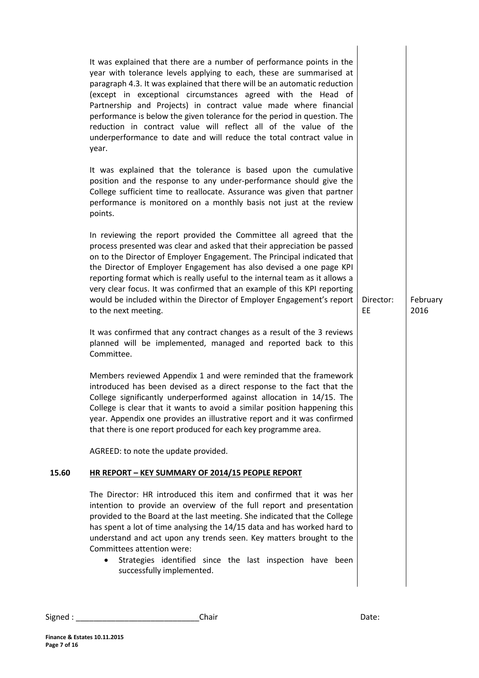|       | It was explained that there are a number of performance points in the<br>year with tolerance levels applying to each, these are summarised at<br>paragraph 4.3. It was explained that there will be an automatic reduction<br>(except in exceptional circumstances agreed with the Head of<br>Partnership and Projects) in contract value made where financial<br>performance is below the given tolerance for the period in question. The<br>reduction in contract value will reflect all of the value of the<br>underperformance to date and will reduce the total contract value in<br>year. |                 |                  |
|-------|-------------------------------------------------------------------------------------------------------------------------------------------------------------------------------------------------------------------------------------------------------------------------------------------------------------------------------------------------------------------------------------------------------------------------------------------------------------------------------------------------------------------------------------------------------------------------------------------------|-----------------|------------------|
|       | It was explained that the tolerance is based upon the cumulative<br>position and the response to any under-performance should give the<br>College sufficient time to reallocate. Assurance was given that partner<br>performance is monitored on a monthly basis not just at the review<br>points.                                                                                                                                                                                                                                                                                              |                 |                  |
|       | In reviewing the report provided the Committee all agreed that the<br>process presented was clear and asked that their appreciation be passed<br>on to the Director of Employer Engagement. The Principal indicated that<br>the Director of Employer Engagement has also devised a one page KPI<br>reporting format which is really useful to the internal team as it allows a<br>very clear focus. It was confirmed that an example of this KPI reporting<br>would be included within the Director of Employer Engagement's report<br>to the next meeting.                                     | Director:<br>EE | February<br>2016 |
|       | It was confirmed that any contract changes as a result of the 3 reviews<br>planned will be implemented, managed and reported back to this<br>Committee.                                                                                                                                                                                                                                                                                                                                                                                                                                         |                 |                  |
|       | Members reviewed Appendix 1 and were reminded that the framework<br>introduced has been devised as a direct response to the fact that the<br>College significantly underperformed against allocation in 14/15. The<br>College is clear that it wants to avoid a similar position happening this<br>year. Appendix one provides an illustrative report and it was confirmed<br>that there is one report produced for each key programme area.                                                                                                                                                    |                 |                  |
|       | AGREED: to note the update provided.                                                                                                                                                                                                                                                                                                                                                                                                                                                                                                                                                            |                 |                  |
| 15.60 | HR REPORT - KEY SUMMARY OF 2014/15 PEOPLE REPORT                                                                                                                                                                                                                                                                                                                                                                                                                                                                                                                                                |                 |                  |
|       | The Director: HR introduced this item and confirmed that it was her<br>intention to provide an overview of the full report and presentation<br>provided to the Board at the last meeting. She indicated that the College<br>has spent a lot of time analysing the 14/15 data and has worked hard to<br>understand and act upon any trends seen. Key matters brought to the<br>Committees attention were:<br>Strategies identified since the last inspection have been<br>$\bullet$<br>successfully implemented.                                                                                 |                 |                  |
|       |                                                                                                                                                                                                                                                                                                                                                                                                                                                                                                                                                                                                 |                 |                  |

Signed : \_\_\_\_\_\_\_\_\_\_\_\_\_\_\_\_\_\_\_\_\_\_\_\_\_\_\_\_Chair Date: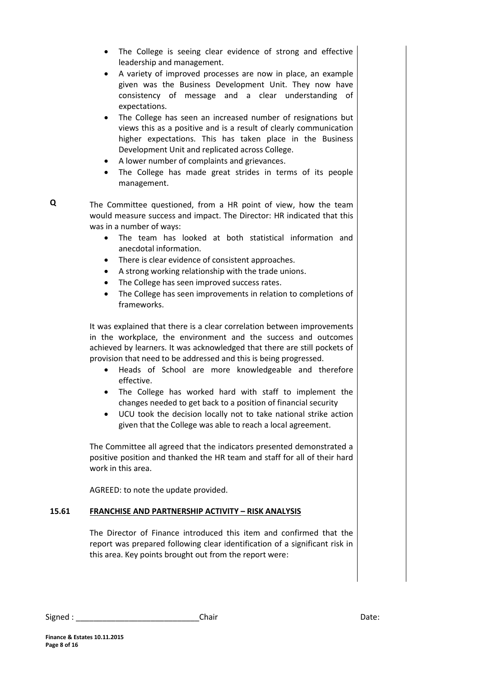- The College is seeing clear evidence of strong and effective leadership and management.
- A variety of improved processes are now in place, an example given was the Business Development Unit. They now have consistency of message and a clear understanding of expectations.
- The College has seen an increased number of resignations but views this as a positive and is a result of clearly communication higher expectations. This has taken place in the Business Development Unit and replicated across College.
- A lower number of complaints and grievances.
- The College has made great strides in terms of its people management.

The Committee questioned, from a HR point of view, how the team would measure success and impact. The Director: HR indicated that this was in a number of ways:

- The team has looked at both statistical information and anecdotal information.
- There is clear evidence of consistent approaches.
- A strong working relationship with the trade unions.
- The College has seen improved success rates.
- The College has seen improvements in relation to completions of frameworks.

It was explained that there is a clear correlation between improvements in the workplace, the environment and the success and outcomes achieved by learners. It was acknowledged that there are still pockets of provision that need to be addressed and this is being progressed.

- Heads of School are more knowledgeable and therefore effective.
- The College has worked hard with staff to implement the changes needed to get back to a position of financial security
- UCU took the decision locally not to take national strike action given that the College was able to reach a local agreement.

The Committee all agreed that the indicators presented demonstrated a positive position and thanked the HR team and staff for all of their hard work in this area.

AGREED: to note the update provided.

### **15.61 FRANCHISE AND PARTNERSHIP ACTIVITY – RISK ANALYSIS**

The Director of Finance introduced this item and confirmed that the report was prepared following clear identification of a significant risk in this area. Key points brought out from the report were:

| Signed | :hair | Date: |
|--------|-------|-------|
|--------|-------|-------|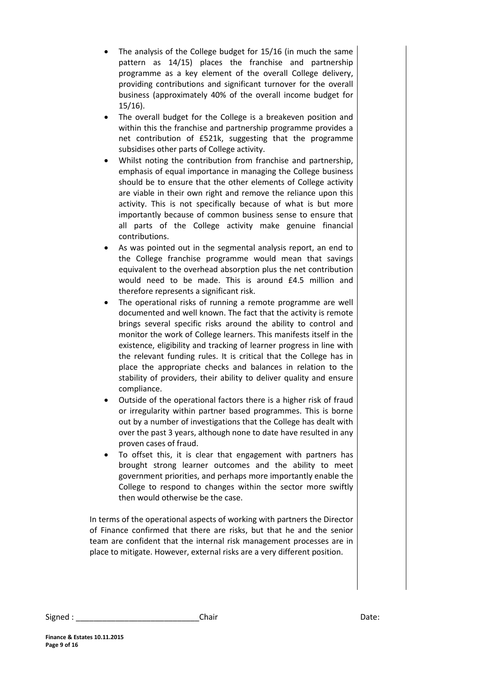- The analysis of the College budget for 15/16 (in much the same pattern as 14/15) places the franchise and partnership programme as a key element of the overall College delivery, providing contributions and significant turnover for the overall business (approximately 40% of the overall income budget for 15/16).
- The overall budget for the College is a breakeven position and within this the franchise and partnership programme provides a net contribution of £521k, suggesting that the programme subsidises other parts of College activity.
- Whilst noting the contribution from franchise and partnership, emphasis of equal importance in managing the College business should be to ensure that the other elements of College activity are viable in their own right and remove the reliance upon this activity. This is not specifically because of what is but more importantly because of common business sense to ensure that all parts of the College activity make genuine financial contributions.
- As was pointed out in the segmental analysis report, an end to the College franchise programme would mean that savings equivalent to the overhead absorption plus the net contribution would need to be made. This is around £4.5 million and therefore represents a significant risk.
- The operational risks of running a remote programme are well documented and well known. The fact that the activity is remote brings several specific risks around the ability to control and monitor the work of College learners. This manifests itself in the existence, eligibility and tracking of learner progress in line with the relevant funding rules. It is critical that the College has in place the appropriate checks and balances in relation to the stability of providers, their ability to deliver quality and ensure compliance.
- Outside of the operational factors there is a higher risk of fraud or irregularity within partner based programmes. This is borne out by a number of investigations that the College has dealt with over the past 3 years, although none to date have resulted in any proven cases of fraud.
- To offset this, it is clear that engagement with partners has brought strong learner outcomes and the ability to meet government priorities, and perhaps more importantly enable the College to respond to changes within the sector more swiftly then would otherwise be the case.

In terms of the operational aspects of working with partners the Director of Finance confirmed that there are risks, but that he and the senior team are confident that the internal risk management processes are in place to mitigate. However, external risks are a very different position.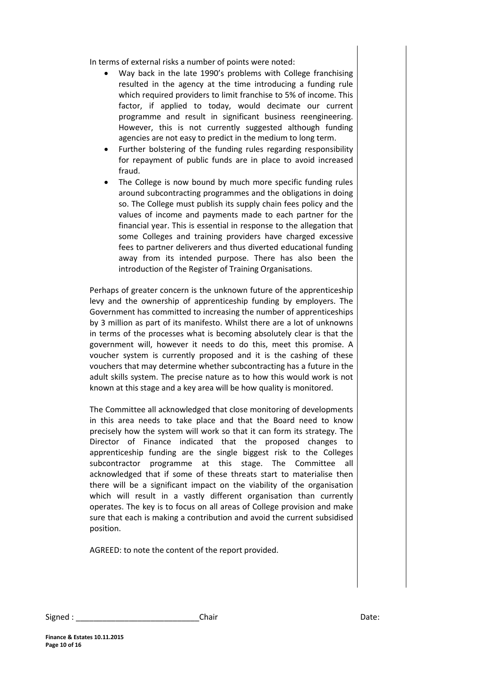In terms of external risks a number of points were noted:

- Way back in the late 1990's problems with College franchising resulted in the agency at the time introducing a funding rule which required providers to limit franchise to 5% of income. This factor, if applied to today, would decimate our current programme and result in significant business reengineering. However, this is not currently suggested although funding agencies are not easy to predict in the medium to long term.
- Further bolstering of the funding rules regarding responsibility for repayment of public funds are in place to avoid increased fraud.
- The College is now bound by much more specific funding rules around subcontracting programmes and the obligations in doing so. The College must publish its supply chain fees policy and the values of income and payments made to each partner for the financial year. This is essential in response to the allegation that some Colleges and training providers have charged excessive fees to partner deliverers and thus diverted educational funding away from its intended purpose. There has also been the introduction of the Register of Training Organisations.

Perhaps of greater concern is the unknown future of the apprenticeship levy and the ownership of apprenticeship funding by employers. The Government has committed to increasing the number of apprenticeships by 3 million as part of its manifesto. Whilst there are a lot of unknowns in terms of the processes what is becoming absolutely clear is that the government will, however it needs to do this, meet this promise. A voucher system is currently proposed and it is the cashing of these vouchers that may determine whether subcontracting has a future in the adult skills system. The precise nature as to how this would work is not known at this stage and a key area will be how quality is monitored.

The Committee all acknowledged that close monitoring of developments in this area needs to take place and that the Board need to know precisely how the system will work so that it can form its strategy. The Director of Finance indicated that the proposed changes to apprenticeship funding are the single biggest risk to the Colleges subcontractor programme at this stage. The Committee all acknowledged that if some of these threats start to materialise then there will be a significant impact on the viability of the organisation which will result in a vastly different organisation than currently operates. The key is to focus on all areas of College provision and make sure that each is making a contribution and avoid the current subsidised position.

AGREED: to note the content of the report provided.

| Signed | Chair | ,,,,,,<br>Dale. |
|--------|-------|-----------------|
|        |       |                 |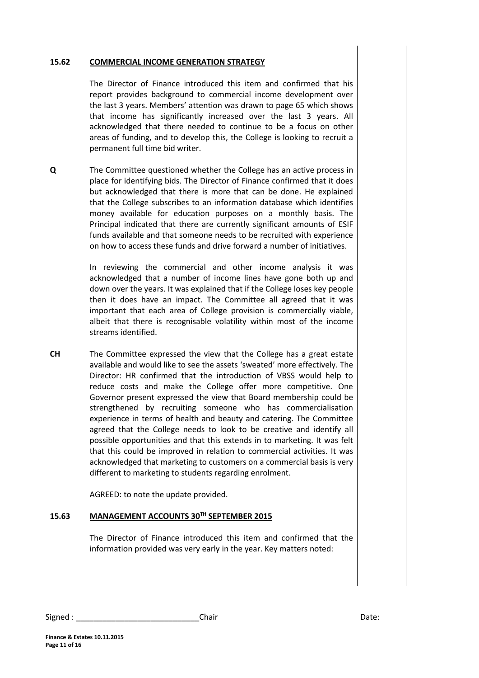#### **15.62 COMMERCIAL INCOME GENERATION STRATEGY**

The Director of Finance introduced this item and confirmed that his report provides background to commercial income development over the last 3 years. Members' attention was drawn to page 65 which shows that income has significantly increased over the last 3 years. All acknowledged that there needed to continue to be a focus on other areas of funding, and to develop this, the College is looking to recruit a permanent full time bid writer.

**Q** The Committee questioned whether the College has an active process in place for identifying bids. The Director of Finance confirmed that it does but acknowledged that there is more that can be done. He explained that the College subscribes to an information database which identifies money available for education purposes on a monthly basis. The Principal indicated that there are currently significant amounts of ESIF funds available and that someone needs to be recruited with experience on how to access these funds and drive forward a number of initiatives.

> In reviewing the commercial and other income analysis it was acknowledged that a number of income lines have gone both up and down over the years. It was explained that if the College loses key people then it does have an impact. The Committee all agreed that it was important that each area of College provision is commercially viable, albeit that there is recognisable volatility within most of the income streams identified.

**CH** The Committee expressed the view that the College has a great estate available and would like to see the assets 'sweated' more effectively. The Director: HR confirmed that the introduction of VBSS would help to reduce costs and make the College offer more competitive. One Governor present expressed the view that Board membership could be strengthened by recruiting someone who has commercialisation experience in terms of health and beauty and catering. The Committee agreed that the College needs to look to be creative and identify all possible opportunities and that this extends in to marketing. It was felt that this could be improved in relation to commercial activities. It was acknowledged that marketing to customers on a commercial basis is very different to marketing to students regarding enrolment.

AGREED: to note the update provided.

### **15.63 MANAGEMENT ACCOUNTS 30TH SEPTEMBER 2015**

The Director of Finance introduced this item and confirmed that the information provided was very early in the year. Key matters noted:

| Signed. | `hair | Date: |
|---------|-------|-------|
|---------|-------|-------|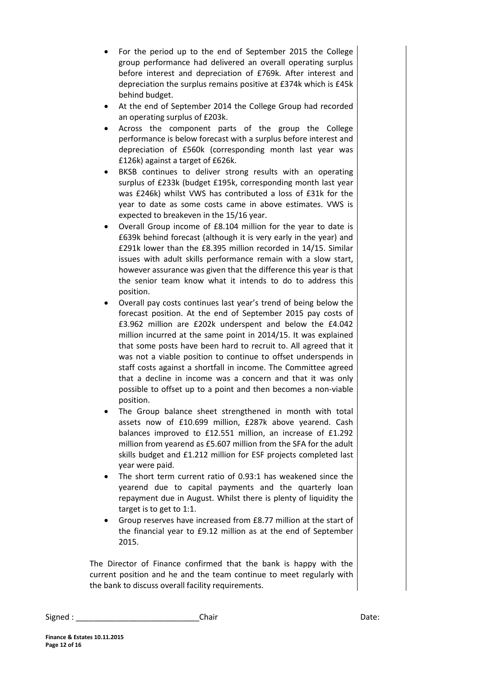- For the period up to the end of September 2015 the College group performance had delivered an overall operating surplus before interest and depreciation of £769k. After interest and depreciation the surplus remains positive at £374k which is £45k behind budget.
- At the end of September 2014 the College Group had recorded an operating surplus of £203k.
- Across the component parts of the group the College performance is below forecast with a surplus before interest and depreciation of £560k (corresponding month last year was £126k) against a target of £626k.
- BKSB continues to deliver strong results with an operating surplus of £233k (budget £195k, corresponding month last year was £246k) whilst VWS has contributed a loss of £31k for the year to date as some costs came in above estimates. VWS is expected to breakeven in the 15/16 year.
- Overall Group income of £8.104 million for the year to date is £639k behind forecast (although it is very early in the year) and £291k lower than the £8.395 million recorded in 14/15. Similar issues with adult skills performance remain with a slow start, however assurance was given that the difference this year is that the senior team know what it intends to do to address this position.
- Overall pay costs continues last year's trend of being below the forecast position. At the end of September 2015 pay costs of £3.962 million are £202k underspent and below the £4.042 million incurred at the same point in 2014/15. It was explained that some posts have been hard to recruit to. All agreed that it was not a viable position to continue to offset underspends in staff costs against a shortfall in income. The Committee agreed that a decline in income was a concern and that it was only possible to offset up to a point and then becomes a non-viable position.
- The Group balance sheet strengthened in month with total assets now of £10.699 million, £287k above yearend. Cash balances improved to £12.551 million, an increase of £1.292 million from yearend as £5.607 million from the SFA for the adult skills budget and £1.212 million for ESF projects completed last year were paid.
- The short term current ratio of 0.93:1 has weakened since the yearend due to capital payments and the quarterly loan repayment due in August. Whilst there is plenty of liquidity the target is to get to 1:1.
- Group reserves have increased from £8.77 million at the start of the financial year to £9.12 million as at the end of September 2015.

The Director of Finance confirmed that the bank is happy with the current position and he and the team continue to meet regularly with the bank to discuss overall facility requirements.

Signed : \_\_\_\_\_\_\_\_\_\_\_\_\_\_\_\_\_\_\_\_\_\_\_\_\_\_\_\_Chair Date: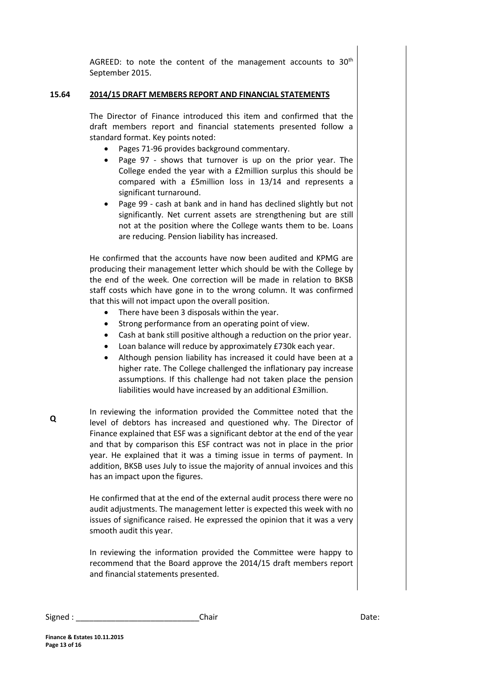AGREED: to note the content of the management accounts to 30<sup>th</sup> September 2015.

#### **15.64 2014/15 DRAFT MEMBERS REPORT AND FINANCIAL STATEMENTS**

The Director of Finance introduced this item and confirmed that the draft members report and financial statements presented follow a standard format. Key points noted:

- Pages 71-96 provides background commentary.
- Page 97 shows that turnover is up on the prior year. The College ended the year with a £2million surplus this should be compared with a £5million loss in 13/14 and represents a significant turnaround.
- Page 99 cash at bank and in hand has declined slightly but not significantly. Net current assets are strengthening but are still not at the position where the College wants them to be. Loans are reducing. Pension liability has increased.

He confirmed that the accounts have now been audited and KPMG are producing their management letter which should be with the College by the end of the week. One correction will be made in relation to BKSB staff costs which have gone in to the wrong column. It was confirmed that this will not impact upon the overall position.

- There have been 3 disposals within the year.
- Strong performance from an operating point of view.
- Cash at bank still positive although a reduction on the prior year.
- Loan balance will reduce by approximately £730k each year.
- Although pension liability has increased it could have been at a higher rate. The College challenged the inflationary pay increase assumptions. If this challenge had not taken place the pension liabilities would have increased by an additional £3million.
- In reviewing the information provided the Committee noted that the level of debtors has increased and questioned why. The Director of Finance explained that ESF was a significant debtor at the end of the year and that by comparison this ESF contract was not in place in the prior year. He explained that it was a timing issue in terms of payment. In addition, BKSB uses July to issue the majority of annual invoices and this has an impact upon the figures.

He confirmed that at the end of the external audit process there were no audit adjustments. The management letter is expected this week with no issues of significance raised. He expressed the opinion that it was a very smooth audit this year.

In reviewing the information provided the Committee were happy to recommend that the Board approve the 2014/15 draft members report and financial statements presented.

Signed : \_\_\_\_\_\_\_\_\_\_\_\_\_\_\_\_\_\_\_\_\_\_\_\_\_\_\_\_\_\_\_\_\_Chair \_\_\_\_\_\_\_\_\_\_\_\_\_\_\_\_\_\_\_\_\_\_\_\_\_\_\_\_\_\_\_\_Date: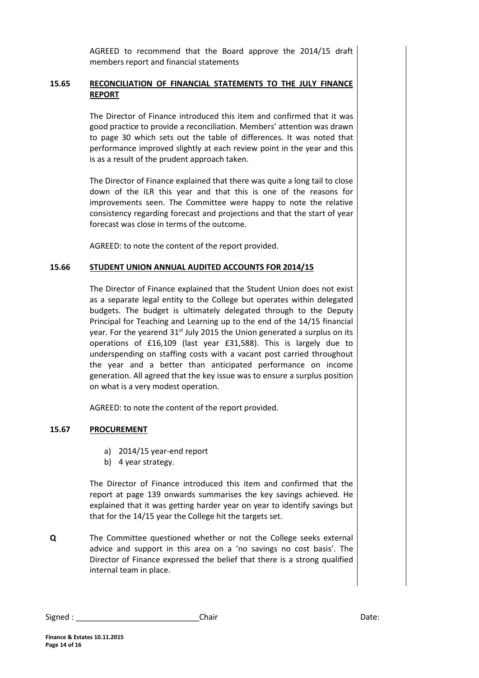AGREED to recommend that the Board approve the 2014/15 draft members report and financial statements

#### **15.65 RECONCILIATION OF FINANCIAL STATEMENTS TO THE JULY FINANCE REPORT**

The Director of Finance introduced this item and confirmed that it was good practice to provide a reconciliation. Members' attention was drawn to page 30 which sets out the table of differences. It was noted that performance improved slightly at each review point in the year and this is as a result of the prudent approach taken.

The Director of Finance explained that there was quite a long tail to close down of the ILR this year and that this is one of the reasons for improvements seen. The Committee were happy to note the relative consistency regarding forecast and projections and that the start of year forecast was close in terms of the outcome.

AGREED: to note the content of the report provided.

#### **15.66 STUDENT UNION ANNUAL AUDITED ACCOUNTS FOR 2014/15**

The Director of Finance explained that the Student Union does not exist as a separate legal entity to the College but operates within delegated budgets. The budget is ultimately delegated through to the Deputy Principal for Teaching and Learning up to the end of the 14/15 financial year. For the yearend 31<sup>st</sup> July 2015 the Union generated a surplus on its operations of £16,109 (last year £31,588). This is largely due to underspending on staffing costs with a vacant post carried throughout the year and a better than anticipated performance on income generation. All agreed that the key issue was to ensure a surplus position on what is a very modest operation.

AGREED: to note the content of the report provided.

#### **15.67 PROCUREMENT**

- a) 2014/15 year-end report
- b) 4 year strategy.

The Director of Finance introduced this item and confirmed that the report at page 139 onwards summarises the key savings achieved. He explained that it was getting harder year on year to identify savings but that for the 14/15 year the College hit the targets set.

**Q** The Committee questioned whether or not the College seeks external advice and support in this area on a 'no savings no cost basis'. The Director of Finance expressed the belief that there is a strong qualified internal team in place.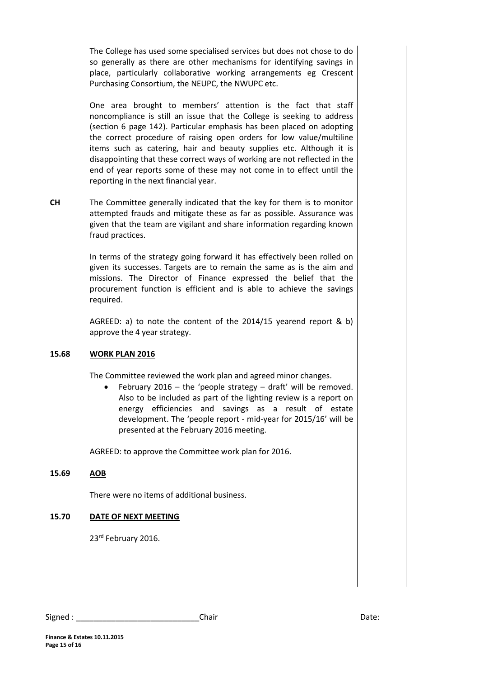The College has used some specialised services but does not chose to do so generally as there are other mechanisms for identifying savings in place, particularly collaborative working arrangements eg Crescent Purchasing Consortium, the NEUPC, the NWUPC etc.

One area brought to members' attention is the fact that staff noncompliance is still an issue that the College is seeking to address (section 6 page 142). Particular emphasis has been placed on adopting the correct procedure of raising open orders for low value/multiline items such as catering, hair and beauty supplies etc. Although it is disappointing that these correct ways of working are not reflected in the end of year reports some of these may not come in to effect until the reporting in the next financial year.

**CH** The Committee generally indicated that the key for them is to monitor attempted frauds and mitigate these as far as possible. Assurance was given that the team are vigilant and share information regarding known fraud practices.

> In terms of the strategy going forward it has effectively been rolled on given its successes. Targets are to remain the same as is the aim and missions. The Director of Finance expressed the belief that the procurement function is efficient and is able to achieve the savings required.

> AGREED: a) to note the content of the 2014/15 yearend report & b) approve the 4 year strategy.

#### **15.68 WORK PLAN 2016**

The Committee reviewed the work plan and agreed minor changes.

 February 2016 – the 'people strategy – draft' will be removed. Also to be included as part of the lighting review is a report on energy efficiencies and savings as a result of estate development. The 'people report - mid-year for 2015/16' will be presented at the February 2016 meeting.

AGREED: to approve the Committee work plan for 2016.

#### **15.69 AOB**

There were no items of additional business.

#### **15.70 DATE OF NEXT MEETING**

23<sup>rd</sup> February 2016.

**Finance & Estates 10.11.2015 Page 15 of 16**